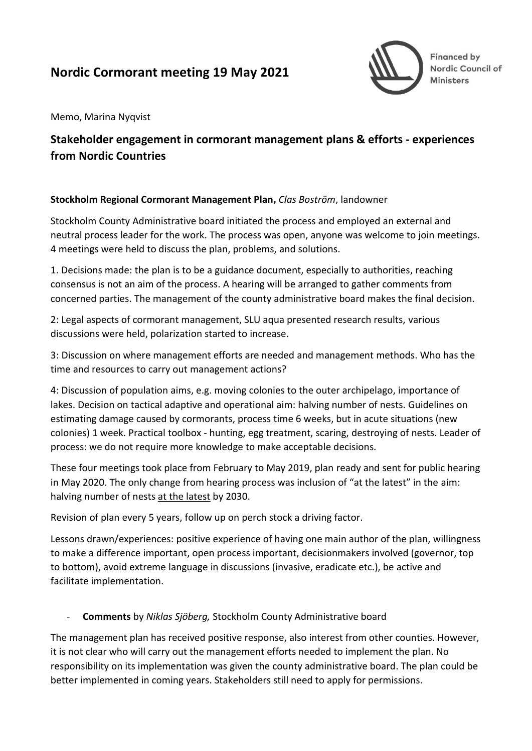# **Nordic Cormorant meeting 19 May 2021**



Memo, Marina Nyqvist

## **Stakeholder engagement in cormorant management plans & efforts - experiences from Nordic Countries**

#### **Stockholm Regional Cormorant Management Plan,** *Clas Boström*, landowner

Stockholm County Administrative board initiated the process and employed an external and neutral process leader for the work. The process was open, anyone was welcome to join meetings. 4 meetings were held to discuss the plan, problems, and solutions.

1. Decisions made: the plan is to be a guidance document, especially to authorities, reaching consensus is not an aim of the process. A hearing will be arranged to gather comments from concerned parties. The management of the county administrative board makes the final decision.

2: Legal aspects of cormorant management, SLU aqua presented research results, various discussions were held, polarization started to increase.

3: Discussion on where management efforts are needed and management methods. Who has the time and resources to carry out management actions?

4: Discussion of population aims, e.g. moving colonies to the outer archipelago, importance of lakes. Decision on tactical adaptive and operational aim: halving number of nests. Guidelines on estimating damage caused by cormorants, process time 6 weeks, but in acute situations (new colonies) 1 week. Practical toolbox - hunting, egg treatment, scaring, destroying of nests. Leader of process: we do not require more knowledge to make acceptable decisions.

These four meetings took place from February to May 2019, plan ready and sent for public hearing in May 2020. The only change from hearing process was inclusion of "at the latest" in the aim: halving number of nests at the latest by 2030.

Revision of plan every 5 years, follow up on perch stock a driving factor.

Lessons drawn/experiences: positive experience of having one main author of the plan, willingness to make a difference important, open process important, decisionmakers involved (governor, top to bottom), avoid extreme language in discussions (invasive, eradicate etc.), be active and facilitate implementation.

### - **Comments** by *Niklas Sjöberg,* Stockholm County Administrative board

The management plan has received positive response, also interest from other counties. However, it is not clear who will carry out the management efforts needed to implement the plan. No responsibility on its implementation was given the county administrative board. The plan could be better implemented in coming years. Stakeholders still need to apply for permissions.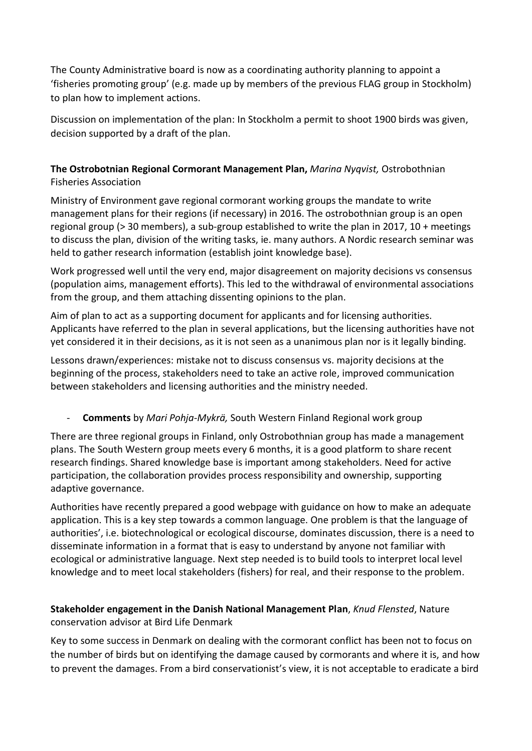The County Administrative board is now as a coordinating authority planning to appoint a 'fisheries promoting group' (e.g. made up by members of the previous FLAG group in Stockholm) to plan how to implement actions.

Discussion on implementation of the plan: In Stockholm a permit to shoot 1900 birds was given, decision supported by a draft of the plan.

## **The Ostrobotnian Regional Cormorant Management Plan,** *Marina Nyqvist,* Ostrobothnian Fisheries Association

Ministry of Environment gave regional cormorant working groups the mandate to write management plans for their regions (if necessary) in 2016. The ostrobothnian group is an open regional group (> 30 members), a sub-group established to write the plan in 2017, 10 + meetings to discuss the plan, division of the writing tasks, ie. many authors. A Nordic research seminar was held to gather research information (establish joint knowledge base).

Work progressed well until the very end, major disagreement on majority decisions vs consensus (population aims, management efforts). This led to the withdrawal of environmental associations from the group, and them attaching dissenting opinions to the plan.

Aim of plan to act as a supporting document for applicants and for licensing authorities. Applicants have referred to the plan in several applications, but the licensing authorities have not yet considered it in their decisions, as it is not seen as a unanimous plan nor is it legally binding.

Lessons drawn/experiences: mistake not to discuss consensus vs. majority decisions at the beginning of the process, stakeholders need to take an active role, improved communication between stakeholders and licensing authorities and the ministry needed.

## - **Comments** by *Mari Pohja-Mykrä,* South Western Finland Regional work group

There are three regional groups in Finland, only Ostrobothnian group has made a management plans. The South Western group meets every 6 months, it is a good platform to share recent research findings. Shared knowledge base is important among stakeholders. Need for active participation, the collaboration provides process responsibility and ownership, supporting adaptive governance.

Authorities have recently prepared a good webpage with guidance on how to make an adequate application. This is a key step towards a common language. One problem is that the language of authorities', i.e. biotechnological or ecological discourse, dominates discussion, there is a need to disseminate information in a format that is easy to understand by anyone not familiar with ecological or administrative language. Next step needed is to build tools to interpret local level knowledge and to meet local stakeholders (fishers) for real, and their response to the problem.

## **Stakeholder engagement in the Danish National Management Plan**, *Knud Flensted*, Nature conservation advisor at Bird Life Denmark

Key to some success in Denmark on dealing with the cormorant conflict has been not to focus on the number of birds but on identifying the damage caused by cormorants and where it is, and how to prevent the damages. From a bird conservationist's view, it is not acceptable to eradicate a bird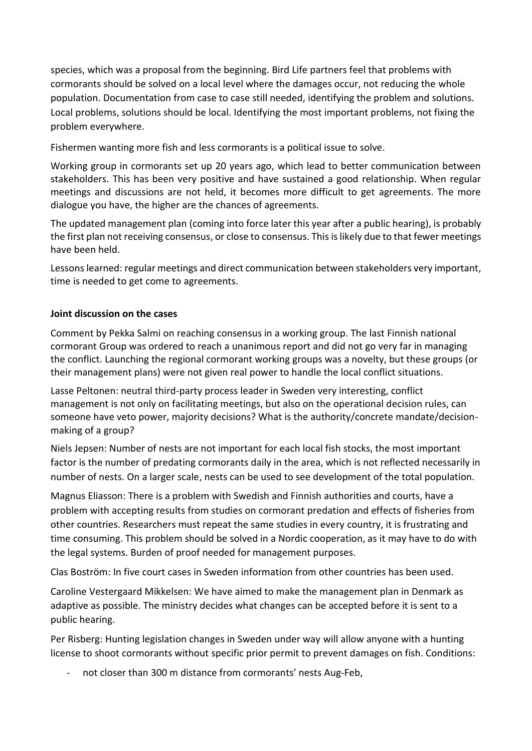species, which was a proposal from the beginning. Bird Life partners feel that problems with cormorants should be solved on a local level where the damages occur, not reducing the whole population. Documentation from case to case still needed, identifying the problem and solutions. Local problems, solutions should be local. Identifying the most important problems, not fixing the problem everywhere.

Fishermen wanting more fish and less cormorants is a political issue to solve.

Working group in cormorants set up 20 years ago, which lead to better communication between stakeholders. This has been very positive and have sustained a good relationship. When regular meetings and discussions are not held, it becomes more difficult to get agreements. The more dialogue you have, the higher are the chances of agreements.

The updated management plan (coming into force later this year after a public hearing), is probably the first plan not receiving consensus, or close to consensus. This is likely due to that fewer meetings have been held.

Lessons learned: regular meetings and direct communication between stakeholders very important, time is needed to get come to agreements.

## **Joint discussion on the cases**

Comment by Pekka Salmi on reaching consensus in a working group. The last Finnish national cormorant Group was ordered to reach a unanimous report and did not go very far in managing the conflict. Launching the regional cormorant working groups was a novelty, but these groups (or their management plans) were not given real power to handle the local conflict situations.

Lasse Peltonen: neutral third-party process leader in Sweden very interesting, conflict management is not only on facilitating meetings, but also on the operational decision rules, can someone have veto power, majority decisions? What is the authority/concrete mandate/decisionmaking of a group?

Niels Jepsen: Number of nests are not important for each local fish stocks, the most important factor is the number of predating cormorants daily in the area, which is not reflected necessarily in number of nests. On a larger scale, nests can be used to see development of the total population.

Magnus Eliasson: There is a problem with Swedish and Finnish authorities and courts, have a problem with accepting results from studies on cormorant predation and effects of fisheries from other countries. Researchers must repeat the same studies in every country, it is frustrating and time consuming. This problem should be solved in a Nordic cooperation, as it may have to do with the legal systems. Burden of proof needed for management purposes.

Clas Boström: In five court cases in Sweden information from other countries has been used.

Caroline Vestergaard Mikkelsen: We have aimed to make the management plan in Denmark as adaptive as possible. The ministry decides what changes can be accepted before it is sent to a public hearing.

Per Risberg: Hunting legislation changes in Sweden under way will allow anyone with a hunting license to shoot cormorants without specific prior permit to prevent damages on fish. Conditions:

not closer than 300 m distance from cormorants' nests Aug-Feb,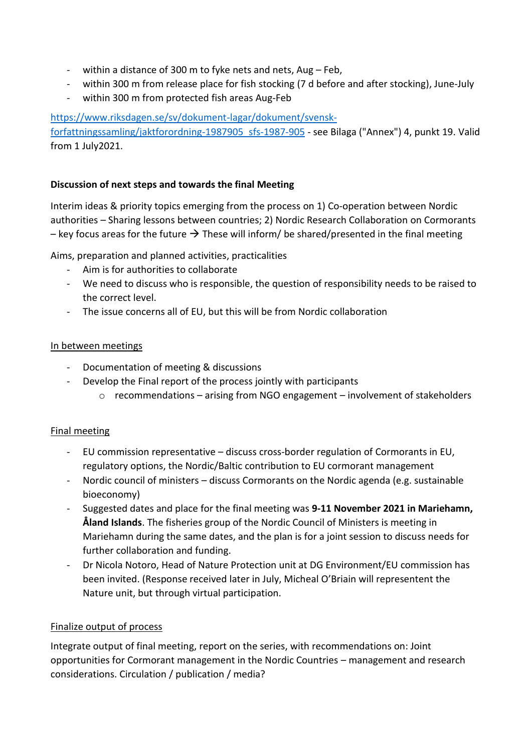- within a distance of 300 m to fyke nets and nets, Aug Feb,
- within 300 m from release place for fish stocking (7 d before and after stocking), June-July
- within 300 m from protected fish areas Aug-Feb

#### [https://www.riksdagen.se/sv/dokument-lagar/dokument/svensk-](https://www.riksdagen.se/sv/dokument-lagar/dokument/svensk-forfattningssamling/jaktforordning-1987905_sfs-1987-905)

[forfattningssamling/jaktforordning-1987905\\_sfs-1987-905](https://www.riksdagen.se/sv/dokument-lagar/dokument/svensk-forfattningssamling/jaktforordning-1987905_sfs-1987-905) - see Bilaga ("Annex") 4, punkt 19. Valid from 1 July2021.

#### **Discussion of next steps and towards the final Meeting**

Interim ideas & priority topics emerging from the process on 1) Co-operation between Nordic authorities – Sharing lessons between countries; 2) Nordic Research Collaboration on Cormorants – key focus areas for the future  $\rightarrow$  These will inform/ be shared/presented in the final meeting

Aims, preparation and planned activities, practicalities

- Aim is for authorities to collaborate
- We need to discuss who is responsible, the question of responsibility needs to be raised to the correct level.
- The issue concerns all of EU, but this will be from Nordic collaboration

#### In between meetings

- Documentation of meeting & discussions
- Develop the Final report of the process jointly with participants
	- o recommendations arising from NGO engagement involvement of stakeholders

### Final meeting

- EU commission representative discuss cross-border regulation of Cormorants in EU, regulatory options, the Nordic/Baltic contribution to EU cormorant management
- Nordic council of ministers discuss Cormorants on the Nordic agenda (e.g. sustainable bioeconomy)
- Suggested dates and place for the final meeting was **9-11 November 2021 in Mariehamn, Åland Islands**. The fisheries group of the Nordic Council of Ministers is meeting in Mariehamn during the same dates, and the plan is for a joint session to discuss needs for further collaboration and funding.
- Dr Nicola Notoro, Head of Nature Protection unit at DG Environment/EU commission has been invited. (Response received later in July, Micheal O'Briain will representent the Nature unit, but through virtual participation.

#### Finalize output of process

Integrate output of final meeting, report on the series, with recommendations on: Joint opportunities for Cormorant management in the Nordic Countries – management and research considerations. Circulation / publication / media?